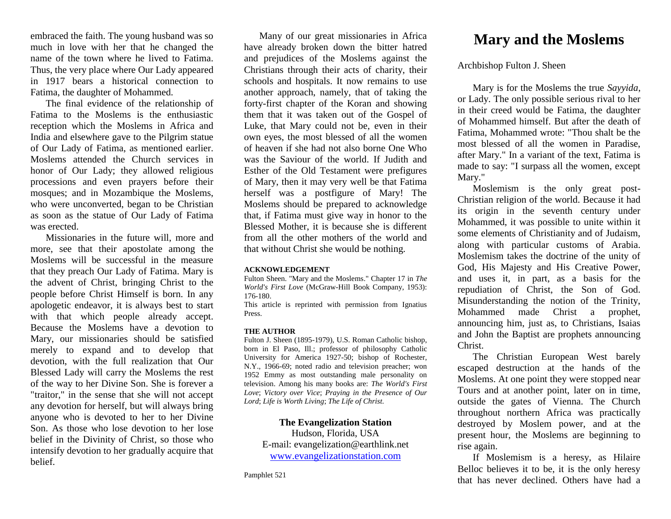embraced the faith. The young husband was so much in love with her that he changed the name of the town where he lived to Fatima. Thus, the very place where Our Lady appeared in 1917 bears a historical connection to Fatima, the daughter of Mohammed.

The final evidence of the relationship of Fatima to the Moslems is the enthusiastic reception which the Moslems in Africa and India and elsewhere gave to the Pilgrim statue of Our Lady of Fatima, as mentioned earlier. Moslems attended the Church services in honor of Our Lady; they allowed religious processions and even prayers before their mosques; and in Mozambique the Moslems, who were unconverted, began to be Christian as soon as the statue of Our Lady of Fatima was erected.

Missionaries in the future will, more and more, see that their apostolate among the Moslems will be successful in the measure that they preach Our Lady of Fatima. Mary is the advent of Christ, bringing Christ to the people before Christ Himself is born. In any apologetic endeavor, it is always best to start with that which people already accept. Because the Moslems have a devotion to Mary, our missionaries should be satisfied merely to expand and to develop that devotion, with the full realization that Our Blessed Lady will carry the Moslems the rest of the way to her Divine Son. She is forever a "traitor," in the sense that she will not accept any devotion for herself, but will always bring anyone who is devoted to her to her Divine Son. As those who lose devotion to her lose belief in the Divinity of Christ, so those who intensify devotion to her gradually acquire that belief.

Many of our great missionaries in Africa have already broken down the bitter hatred and prejudices of the Moslems against the Christians through their acts of charity, their schools and hospitals. It now remains to use another approach, namely, that of taking the forty-first chapter of the Koran and showing them that it was taken out of the Gospel of Luke, that Mary could not be, even in their own eyes, the most blessed of all the women of heaven if she had not also borne One Who was the Saviour of the world. If Judith and Esther of the Old Testament were prefigures of Mary, then it may very well be that Fatima herself was a postfigure of Mary! The Moslems should be prepared to acknowledge that, if Fatima must give way in honor to the Blessed Mother, it is because she is different from all the other mothers of the world and that without Christ she would be nothing.

## **ACKNOWLEDGEMENT**

Fulton Sheen. "Mary and the Moslems." Chapter 17 in *The World's First Love* (McGraw-Hill Book Company, 1953): 176-180.

This article is reprinted with permission from Ignatius Press.

## **THE AUTHOR**

Fulton J. Sheen (1895-1979), U.S. Roman Catholic bishop, born in El Paso, Ill.; professor of philosophy Catholic University for America 1927-50; bishop of Rochester, N.Y., 1966-69; noted radio and television preacher; won 1952 Emmy as most outstanding male personality on television. Among his many books are: *The World's First Love*; *Victory over Vice*; *Praying in the Presence of Our Lord*; *Life is Worth Living*; *The Life of Christ*.

**The Evangelization Station** Hudson, Florida, USA E-mail: evangelization@earthlink.net [www.evangelizationstation.com](http://www.pjpiisoe.org/)

## **Mary and the Moslems**

## Archbishop Fulton J. Sheen

Mary is for the Moslems the true *Sayyida*, or Lady. The only possible serious rival to her in their creed would be Fatima, the daughter of Mohammed himself. But after the death of Fatima, Mohammed wrote: "Thou shalt be the most blessed of all the women in Paradise, after Mary." In a variant of the text, Fatima is made to say: "I surpass all the women, except Mary."

Moslemism is the only great post-Christian religion of the world. Because it had its origin in the seventh century under Mohammed, it was possible to unite within it some elements of Christianity and of Judaism, along with particular customs of Arabia. Moslemism takes the doctrine of the unity of God, His Majesty and His Creative Power, and uses it, in part, as a basis for the repudiation of Christ, the Son of God. Misunderstanding the notion of the Trinity, Mohammed made Christ a prophet, announcing him, just as, to Christians, Isaias and John the Baptist are prophets announcing Christ.

The Christian European West barely escaped destruction at the hands of the Moslems. At one point they were stopped near Tours and at another point, later on in time, outside the gates of Vienna. The Church throughout northern Africa was practically destroyed by Moslem power, and at the present hour, the Moslems are beginning to rise again.

If Moslemism is a heresy, as Hilaire Belloc believes it to be, it is the only heresy that has never declined. Others have had a